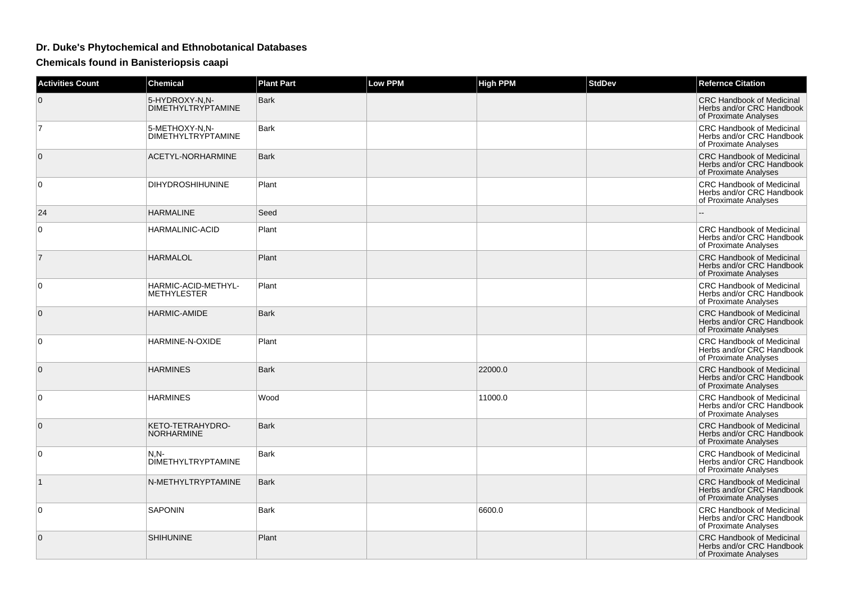## **Dr. Duke's Phytochemical and Ethnobotanical Databases**

**Chemicals found in Banisteriopsis caapi**

| <b>Activities Count</b> | <b>Chemical</b>                             | <b>Plant Part</b> | <b>Low PPM</b> | <b>High PPM</b> | <b>StdDev</b> | <b>Refernce Citation</b>                                                               |
|-------------------------|---------------------------------------------|-------------------|----------------|-----------------|---------------|----------------------------------------------------------------------------------------|
| 0                       | 5-HYDROXY-N.N-<br><b>DIMETHYLTRYPTAMINE</b> | Bark              |                |                 |               | <b>CRC Handbook of Medicinal</b><br>Herbs and/or CRC Handbook<br>of Proximate Analyses |
| $\overline{7}$          | 5-METHOXY-N.N-<br><b>DIMETHYLTRYPTAMINE</b> | <b>Bark</b>       |                |                 |               | <b>CRC Handbook of Medicinal</b><br>Herbs and/or CRC Handbook<br>of Proximate Analyses |
| 0                       | ACETYL-NORHARMINE                           | <b>Bark</b>       |                |                 |               | <b>CRC Handbook of Medicinal</b><br>Herbs and/or CRC Handbook<br>of Proximate Analyses |
| 0                       | <b>DIHYDROSHIHUNINE</b>                     | Plant             |                |                 |               | CRC Handbook of Medicinal<br>Herbs and/or CRC Handbook<br>of Proximate Analyses        |
| 24                      | <b>HARMALINE</b>                            | Seed              |                |                 |               |                                                                                        |
| 0                       | HARMALINIC-ACID                             | Plant             |                |                 |               | <b>CRC Handbook of Medicinal</b><br>Herbs and/or CRC Handbook<br>of Proximate Analyses |
| $\overline{7}$          | <b>HARMALOL</b>                             | Plant             |                |                 |               | <b>CRC Handbook of Medicinal</b><br>Herbs and/or CRC Handbook<br>of Proximate Analyses |
| 0                       | HARMIC-ACID-METHYL-<br><b>METHYLESTER</b>   | Plant             |                |                 |               | <b>CRC Handbook of Medicinal</b><br>Herbs and/or CRC Handbook<br>of Proximate Analyses |
| $\mathbf{0}$            | <b>HARMIC-AMIDE</b>                         | <b>Bark</b>       |                |                 |               | <b>CRC Handbook of Medicinal</b><br>Herbs and/or CRC Handbook<br>of Proximate Analyses |
| 0                       | HARMINE-N-OXIDE                             | Plant             |                |                 |               | <b>CRC Handbook of Medicinal</b><br>Herbs and/or CRC Handbook<br>of Proximate Analyses |
| 0                       | <b>HARMINES</b>                             | <b>Bark</b>       |                | 22000.0         |               | <b>CRC Handbook of Medicinal</b><br>Herbs and/or CRC Handbook<br>of Proximate Analyses |
| $\mathbf 0$             | <b>HARMINES</b>                             | Wood              |                | 11000.0         |               | <b>CRC Handbook of Medicinal</b><br>Herbs and/or CRC Handbook<br>of Proximate Analyses |
| $\mathbf{0}$            | KETO-TETRAHYDRO-<br><b>NORHARMINE</b>       | <b>Bark</b>       |                |                 |               | <b>CRC Handbook of Medicinal</b><br>Herbs and/or CRC Handbook<br>of Proximate Analyses |
| 0                       | $N.N-$<br><b>DIMETHYLTRYPTAMINE</b>         | <b>Bark</b>       |                |                 |               | CRC Handbook of Medicinal<br>Herbs and/or CRC Handbook<br>of Proximate Analyses        |
| $\mathbf 1$             | N-METHYLTRYPTAMINE                          | <b>Bark</b>       |                |                 |               | <b>CRC Handbook of Medicinal</b><br>Herbs and/or CRC Handbook<br>of Proximate Analyses |
| 0                       | <b>SAPONIN</b>                              | Bark              |                | 6600.0          |               | <b>CRC Handbook of Medicinal</b><br>Herbs and/or CRC Handbook<br>of Proximate Analyses |
| $\mathbf{0}$            | <b>SHIHUNINE</b>                            | Plant             |                |                 |               | <b>CRC Handbook of Medicinal</b><br>Herbs and/or CRC Handbook<br>of Proximate Analyses |